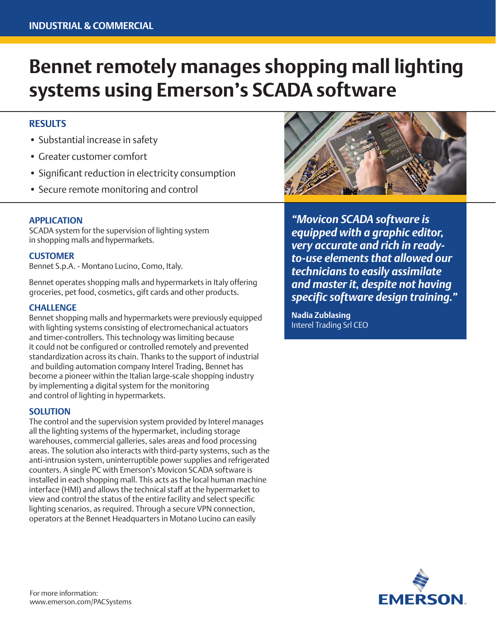# **Bennet remotely manages shopping mall lighting systems using Emerson's SCADA software**

## **RESULTS**

- Substantial increase in safety
- Greater customer comfort
- Significant reduction in electricity consumption
- Secure remote monitoring and control

### **APPLICATION**

SCADA system for the supervision of lighting system in shopping malls and hypermarkets.

#### **CUSTOMER**

Bennet S.p.A. - Montano Lucino, Como, Italy.

Bennet operates shopping malls and hypermarkets in Italy offering groceries, pet food, cosmetics, gift cards and other products.

#### **CHALLENGE**

Bennet shopping malls and hypermarkets were previously equipped with lighting systems consisting of electromechanical actuators and timer-controllers. This technology was limiting because it could not be configured or controlled remotely and prevented standardization across its chain. Thanks to the support of industrial and building automation company Interel Trading, Bennet has become a pioneer within the Italian large-scale shopping industry by implementing a digital system for the monitoring and control of lighting in hypermarkets.

#### **SOLUTION**

The control and the supervision system provided by Interel manages all the lighting systems of the hypermarket, including storage warehouses, commercial galleries, sales areas and food processing areas. The solution also interacts with third-party systems, such as the anti-intrusion system, uninterruptible power supplies and refrigerated counters. A single PC with Emerson's Movicon SCADA software is installed in each shopping mall. This acts as the local human machine interface (HMI) and allows the technical staff at the hypermarket to view and control the status of the entire facility and select specific lighting scenarios, as required. Through a secure VPN connection, operators at the Bennet Headquarters in Motano Lucino can easily



*"Movicon SCADA software is equipped with a graphic editor, very accurate and rich in readyto-use elements that allowed our technicians to easily assimilate and master it, despite not having specific software design training."*

**Nadia Zublasing** Interel Trading Srl CEO